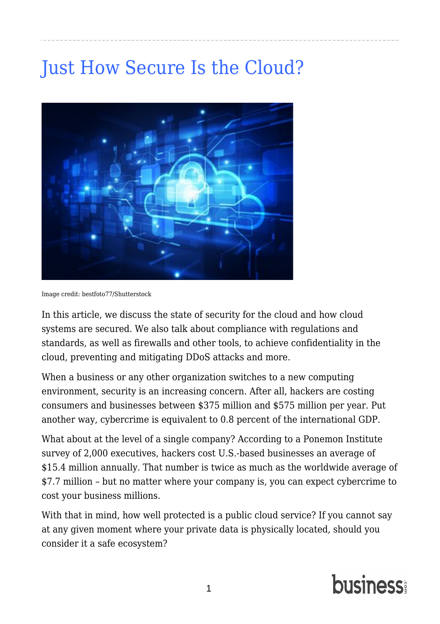## Table of Contents

| 4 Security Tips to Keep Your Business Safe14 |  |
|----------------------------------------------|--|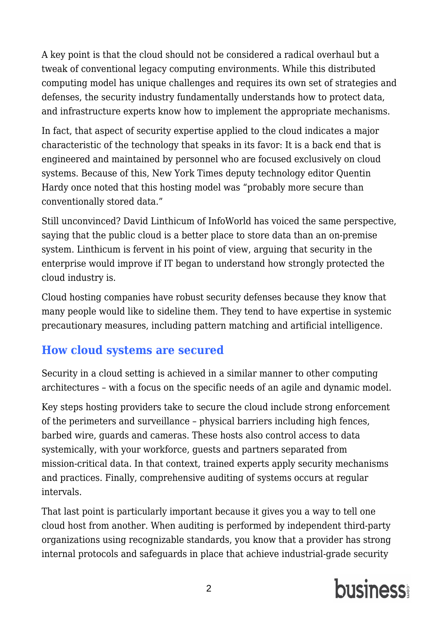## <span id="page-2-0"></span>[Just How Secure Is the Cloud?](https://www.business.com/articles/how-secure-is-cloud/?page=1&q=network+security&date%5B%5D=Past+Year&category%5B%5D=Security&resultlist=mostRelevant)



Image credit: bestfoto77/Shutterstock

In this article, we discuss the state of security for the cloud and how cloud systems are secured. We also talk about compliance with regulations and standards, as well as firewalls and other tools, to achieve confidentiality in the cloud, preventing and mitigating DDoS attacks and more.

When a business or any other organization switches to a new computing environment, security is an increasing concern. After all, hackers are costing consumers and businesses between \$375 million and \$575 million per year. Put another way, cybercrime is equivalent to 0.8 percent of the international GDP.

What about at the level of a single company? According to a [Ponemon Institute](https://www-01.ibm.com/common/ssi/cgi-bin/ssialias?htmlfid=SEL03130WWEN) [survey](https://www-01.ibm.com/common/ssi/cgi-bin/ssialias?htmlfid=SEL03130WWEN) of 2,000 executives, hackers cost U.S.-based businesses an average of \$15.4 million annually. That number is twice as much as the worldwide average of \$7.7 million – but no matter where your company is, you can expect cybercrime to cost your business millions.

With that in mind, how well protected is a public cloud service? If you cannot say at any given moment where your private data is physically located, should you consider it a safe ecosystem?

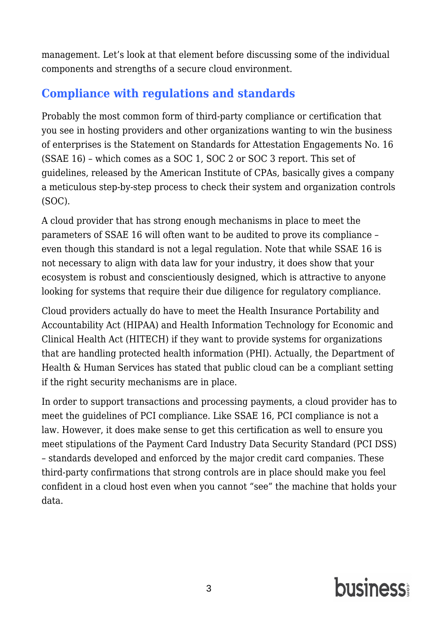A key point is that the cloud should not be considered a radical overhaul but a tweak of conventional legacy computing environments. While this distributed computing model has unique challenges and requires its own set of strategies and defenses, the security industry fundamentally understands how to protect data, and infrastructure experts know how to implement the appropriate mechanisms.

In fact, that aspect of security expertise applied to the cloud indicates a major characteristic of the technology that speaks in its favor: It is a back end that is engineered and maintained by personnel who are focused exclusively on cloud systems. Because of this, [New York Times](https://www.nytimes.com/2017/01/23/insider/where-does-cloud-storage-really-reside-and-is-it-secure.html) deputy technology editor Quentin Hardy once noted that this hosting model was "probably more secure than conventionally stored data."

Still unconvinced? David Linthicum of InfoWorld has voiced the same perspective, saying that the public cloud is a better place to store data than an on-premise system. Linthicum is fervent in his point of view, arguing that security in the enterprise would improve if IT began to understand how strongly protected the cloud industry is.

Cloud hosting companies have robust security defenses because they know that many people would like to sideline them. They tend to have expertise in systemic precautionary measures, including pattern matching and artificial intelligence.

#### **How cloud systems are secured**

Security in a cloud setting is achieved in a similar manner to other computing architectures – with a focus on the specific needs of an agile and dynamic model.

Key steps hosting providers take to secure the cloud include strong enforcement of the perimeters and surveillance – physical barriers including high fences, barbed wire, guards and cameras. These hosts also control access to data systemically, with your workforce, guests and partners separated from mission-critical data. In that context, trained experts apply security mechanisms and practices. Finally, comprehensive auditing of systems occurs at regular intervals.

That last point is particularly important because it gives you a way to tell one cloud host from another. When auditing is performed by independent third-party organizations using recognizable standards, you know that a provider has strong internal protocols and safeguards in place that achieve industrial-grade security

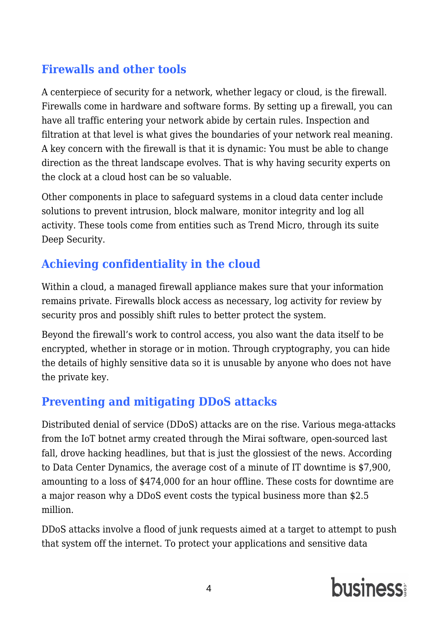management. Let's look at that element before discussing some of the individual components and strengths of a secure cloud environment.

## **Compliance with regulations and standards**

Probably the most common form of third-party compliance or certification that you see in hosting providers and other organizations wanting to win the business of enterprises is the Statement on Standards for Attestation Engagements No. 16 (SSAE 16) – which comes as a SOC 1, SOC 2 or SOC 3 report. This set of guidelines, released by the American Institute of CPAs, basically gives a company a meticulous step-by-step process to check their system and organization controls (SOC).

A cloud provider that has strong enough mechanisms in place to meet the parameters of SSAE 16 will often want to be audited to prove its compliance – even though this standard is not a legal regulation. Note that while SSAE 16 is not necessary to align with data law for your industry, it does show that your ecosystem is robust and conscientiously designed, which is attractive to anyone looking for systems that require their due diligence for regulatory compliance.

Cloud providers actually do have to meet the Health Insurance Portability and Accountability Act (HIPAA) and Health Information Technology for Economic and Clinical Health Act (HITECH) if they want to provide systems for organizations that are handling protected health information (PHI). Actually, [the Department of](https://www.hhs.gov/hipaa/for-professionals/special-topics/cloud-computing/index.html) [Health & Human Services has stated](https://www.hhs.gov/hipaa/for-professionals/special-topics/cloud-computing/index.html) that public cloud can be a compliant setting if the right security mechanisms are in place.

In order to support transactions and processing payments, a cloud provider has to meet the guidelines of PCI compliance. Like SSAE 16, PCI compliance is not a law. However, it does make sense to get this certification as well to ensure you meet stipulations of the Payment Card Industry Data Security Standard (PCI DSS) – standards developed and enforced by the major credit card companies. These third-party confirmations that strong controls are in place should make you feel confident in a cloud host even when you cannot "see" the machine that holds your data.

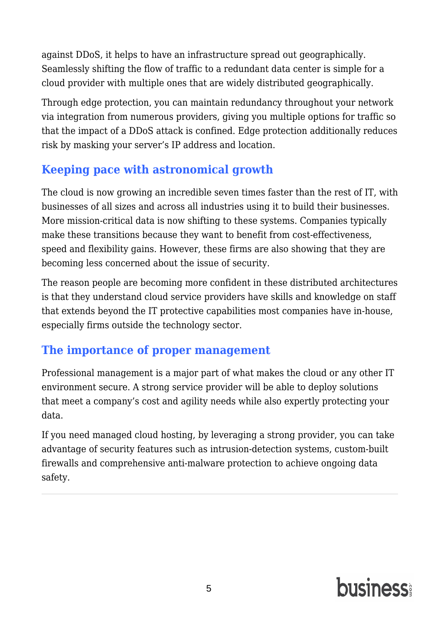## **Firewalls and other tools**

A centerpiece of security for a network, whether legacy or cloud, is the firewall. Firewalls come in hardware and software forms. By setting up a firewall, you can have all traffic entering your network abide by certain rules. Inspection and filtration at that level is what gives the boundaries of your network real meaning. A key concern with the firewall is that it is dynamic: You must be able to change direction as the threat landscape evolves. That is why having security experts on the clock at a cloud host can be so valuable.

Other components in place to safeguard systems in a cloud data center include solutions to prevent intrusion, block malware, monitor integrity and log all activity. These tools come from entities such as Trend Micro, through its suite Deep Security.

## **Achieving confidentiality in the cloud**

Within a cloud, a managed firewall appliance makes sure that your information remains private. Firewalls block access as necessary, log activity for review by security pros and possibly shift rules to better protect the system.

Beyond the firewall's work to control access, you also want the data itself to be encrypted, whether in storage or in motion. Through cryptography, you can hide the details of highly sensitive data so it is unusable by anyone who does not have the private key.

## **Preventing and mitigating DDoS attacks**

Distributed denial of service (DDoS) attacks are on the rise. Various mega-attacks from the IoT botnet army created through the Mirai software, open-sourced last fall, drove hacking headlines, but that is just the glossiest of the news. According to [Data Center Dynamics,](http://www.datacenterdynamics.com/content-tracks/power-cooling/one-minute-of-data-center-downtime-costs-us7900-on-average/83956.fullarticle) the average cost of a minute of IT downtime is \$7,900, amounting to a loss of \$474,000 for an hour offline. These costs for downtime are a major reason why a DDoS event costs the typical business more than \$2.5 million.

DDoS attacks involve a flood of junk requests aimed at a target to attempt to push that system off the internet. To protect your applications and sensitive data

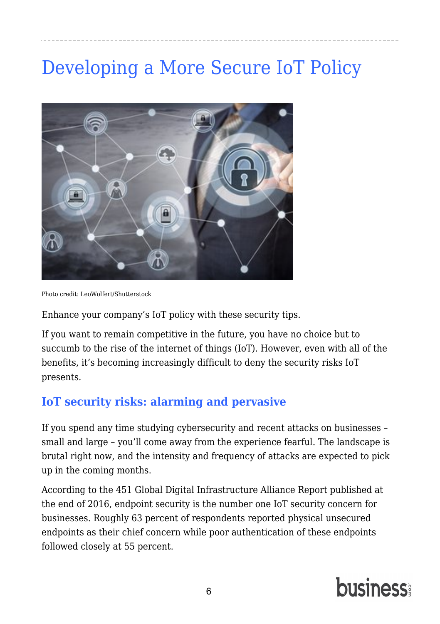against DDoS, it helps to have an infrastructure spread out geographically. Seamlessly shifting the flow of traffic to a redundant data center is simple for a cloud provider with multiple ones that are widely distributed geographically.

Through edge protection, you can maintain redundancy throughout your network via integration from numerous providers, giving you multiple options for traffic so that the impact of a DDoS attack is confined. Edge protection additionally reduces risk by masking your server's IP address and location.

## **Keeping pace with astronomical growth**

The cloud is now growing an incredible seven times faster than the rest of IT, with businesses of all sizes and across all industries using it to build their businesses. More mission-critical data is now shifting to these systems. Companies typically make these transitions because they want to benefit from cost-effectiveness, speed and flexibility gains. However, these firms are also showing that they are becoming less concerned about the issue of security.

The reason people are becoming more confident in these distributed architectures is that they understand cloud service providers have skills and knowledge on staff that extends beyond the IT protective capabilities most companies have in-house, especially firms outside the technology sector.

### **The importance of proper management**

Professional management is a major part of what makes the cloud or any other IT environment secure. A strong service provider will be able to deploy solutions that meet a company's cost and agility needs while also expertly protecting your data.

If you need [managed cloud hosting](https://www.atlantic.net/managed-hosting/), by leveraging a strong provider, you can take advantage of security features such as intrusion-detection systems, custom-built firewalls and comprehensive anti-malware protection to achieve ongoing data safety.

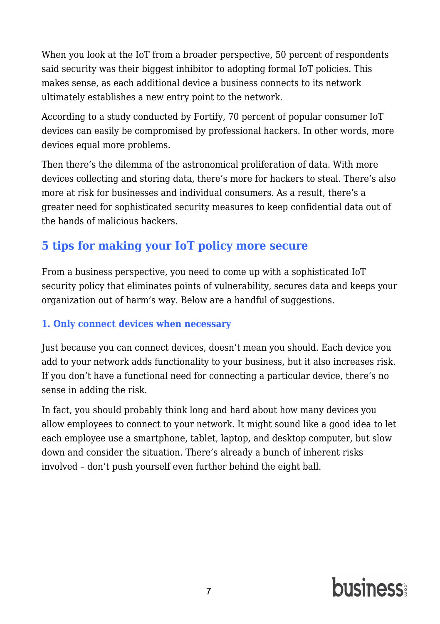## [Developing a More Secure IoT Policy](https://www.business.com/articles/developing-a-more-secure-iot-policy/?page=1&q=network+security&date%5B%5D=Past+Year&category%5B%5D=Security&resultlist=mostRelevant)

<span id="page-7-0"></span>

Photo credit: LeoWolfert/Shutterstock

Enhance your company's IoT policy with these security tips.

If you want to remain competitive in the future, you have no choice but to succumb to the rise of the internet of things (IoT). However, even with all of the benefits, it's becoming increasingly difficult to deny the security risks IoT presents.

### **IoT security risks: alarming and pervasive**

If you spend any time studying cybersecurity and [recent attacks on businesses](https://www.zdnet.com/article/5-nightmarish-attacks-that-show-the-risks-of-iot-security/) – small and large – you'll come away from the experience fearful. The landscape is brutal right now, and the intensity and frequency of attacks are expected to pick up in the coming months.

According to the [451 Global Digital Infrastructure Alliance Report](http://451alliance.com/Portals/5/2016reports/101916_3q16_iot_report/3q16_iot_report.pdf) published at the end of 2016, endpoint security is the number one IoT security concern for businesses. Roughly 63 percent of respondents reported physical unsecured endpoints as their chief concern while poor authentication of these endpoints followed closely at 55 percent.

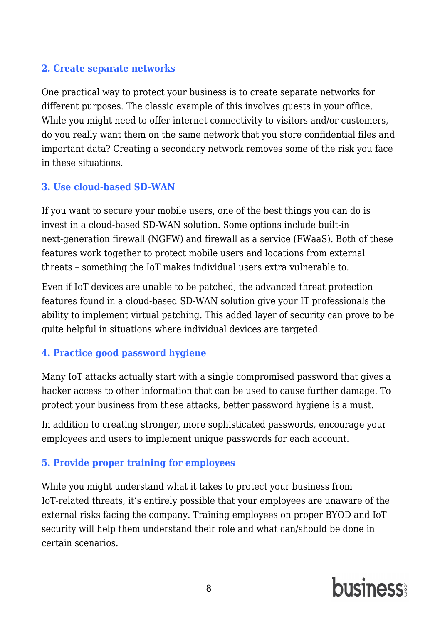When you look at the IoT from a broader perspective, 50 percent of respondents said security was their biggest inhibitor to adopting formal IoT policies. This makes sense, as each additional device a business connects to its network ultimately establishes a new entry point to the network.

According t[o a study conducted by Fortify,](http://www8.hp.com/us/en/hp-news/press-release.html?id=1744676#.Wv3vDIgvyM9) 70 percent of popular consumer IoT devices can easily be compromised by professional hackers. In other words, more devices equal more problems.

Then there's the dilemma of the astronomical proliferation of data. With more devices collecting and storing data, there's more for hackers to steal. There's also more at risk for businesses and individual consumers. As a result, there's a greater need for sophisticated security measures to keep confidential data out of the hands of malicious hackers.

## **5 tips for making your IoT policy more secure**

From a business perspective, you need to come up with a sophisticated IoT security policy that eliminates points of vulnerability, secures data and keeps your organization out of harm's way. Below are a handful of suggestions.

#### **1. Only connect devices when necessary**

Just because you can connect devices, doesn't mean you should*.* Each device you add to your network adds functionality to your business, but it also increases risk. If you don't have a functional need for connecting a particular device, there's no sense in adding the risk.

In fact, you should probably think long and hard about how many devices you allow employees to connect to your network. It might sound like a good idea to let each employee use a smartphone, tablet, laptop, and desktop computer, but slow down and consider the situation. There's already a bunch of inherent risks involved – don't push yourself even further behind the eight ball.

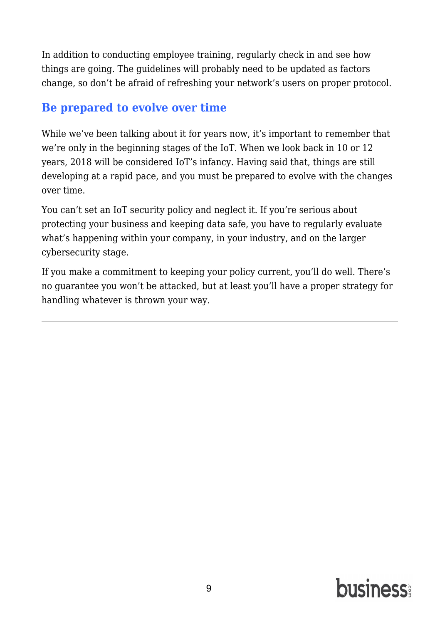#### **2. Create separate networks**

One practical way to protect your business is to create separate networks for different purposes. The classic example of this involves guests in your office. While you might need to offer internet connectivity to visitors and/or customers, do you really want them on the same network that you store confidential files and important data? Creating a secondary network removes some of the risk you face in these situations.

#### **3. Use cloud-based SD-WAN**

If you want to secure your mobile users, one of the best things you can do is invest in a cloud-based SD-WAN solution. Some options include built-in next-generation firewall (NGFW) and firewall as a service (FWaaS). Both of these features work together to protect mobile users and locations from external threats – something the IoT makes individual users extra vulnerable to.

Even if IoT devices are unable to be patched, the advanced threat protection features found in a cloud-based SD-WAN solution give your IT professionals the ability to implement virtual patching. This added layer of security can prove to be quite helpful in situations where individual devices are targeted.

#### **4. Practice good password hygiene**

Many IoT attacks actually start with a single compromised password that gives a hacker access to other information that can be used to cause further damage. To protect your business from these attacks, better password hygiene is a must.

In addition to creating stronger, more sophisticated passwords, encourage your employees and users to implement unique passwords for each account.

#### **5. Provide proper training for employees**

While you might understand what it takes to protect your business from IoT-related threats, it's entirely possible that your employees are unaware of the external risks facing the company. Training employees on proper BYOD and IoT security will help them understand their role and what can/should be done in certain scenarios.

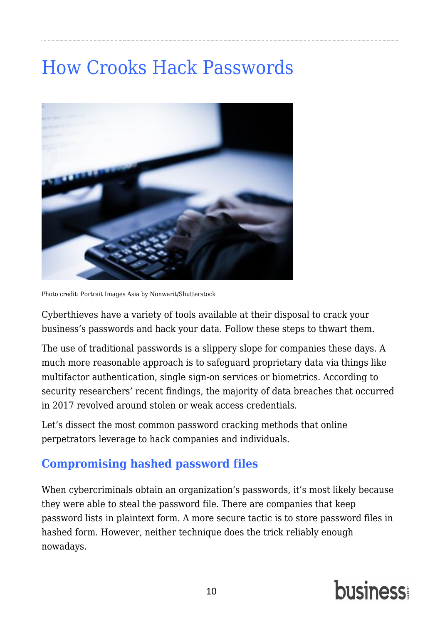In addition to conducting employee training, regularly check in and see how things are going. The guidelines will probably need to be updated as factors change, so don't be afraid of refreshing your network's users on proper protocol.

### **Be prepared to evolve over time**

While we've been talking about it for years now, it's important to remember that we're only in the beginning stages of the IoT. When we look back in 10 or 12 years, 2018 will be considered IoT's infancy. Having said that, things are still developing at a rapid pace, and you must be prepared to evolve with the changes over time.

You can't set an IoT security policy and neglect it. If you're serious about protecting your business and keeping data safe, you have to regularly evaluate what's happening within your company, in your industry, and on the larger cybersecurity stage.

If you make a commitment to keeping your policy current, you'll do well. There's no guarantee you won't be attacked, but at least you'll have a proper strategy for handling whatever is thrown your way.

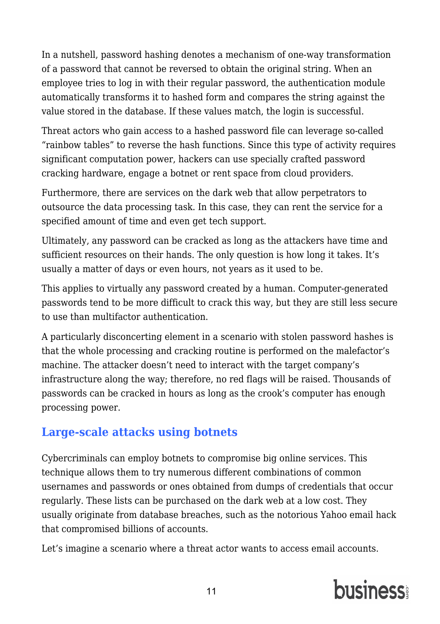## [How Crooks Hack Passwords](https://www.business.com/articles/how-crooks-hack-passwords/?page=0&q=network+security&date%5B%5D=Past+Month&category%5B%5D=Security&resultlist=mostRelevant)

<span id="page-11-0"></span>

Photo credit: Portrait Images Asia by Nonwarit/Shutterstock

Cyberthieves have a variety of tools available at their disposal to crack your business's passwords and hack your data. Follow these steps to thwart them.

The use of traditional passwords is a slippery slope for companies these days. A much more reasonable approach is to safeguard proprietary data via things like multifactor authentication, single sign-on services or biometrics. According to security researchers' [recent findings,](https://www.verizonenterprise.com/verizon-insights-lab/dbir/) the majority of data breaches that occurred in 2017 revolved around stolen or weak access credentials.

Let's dissect the most common password cracking methods that online perpetrators leverage to hack companies and individuals.

### **Compromising hashed password files**

When cybercriminals obtain an organization's passwords, it's most likely because they were able to steal the password file. There are companies that keep password lists in plaintext form. A more secure tactic is to store password files in hashed form. However, neither technique does the trick reliably enough nowadays.

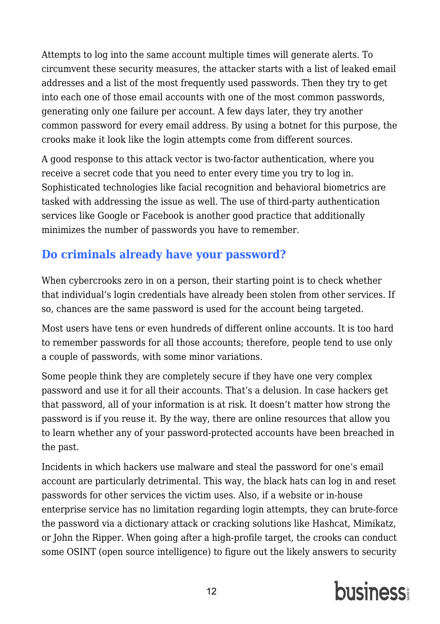In a nutshell, password hashing denotes a mechanism of one-way transformation of a password that cannot be reversed to obtain the original string. When an employee tries to log in with their regular password, the authentication module automatically transforms it to hashed form and compares the string against the value stored in the database. If these values match, the login is successful.

Threat actors who gain access to a hashed password file can leverage so-called "rainbow tables" to reverse the hash functions. Since this type of activity requires significant computation power, hackers can use specially crafted password cracking hardware, engage a botnet or rent space from cloud providers.

Furthermore, there are services on the dark web that allow perpetrators to outsource the data processing task. In this case, they can rent the service for a specified amount of time and even get tech support.

Ultimately, any password can be cracked as long as the attackers have time and sufficient resources on their hands. The only question is how long it takes. It's usually a matter of days or even hours, not years as it used to be.

This applies to virtually any password created by a human. Computer-generated passwords tend to be more difficult to crack this way, but they are still less secure to use than multifactor authentication.

A particularly disconcerting element in a scenario with stolen password hashes is that the whole processing and cracking routine is performed on the malefactor's machine. The attacker doesn't need to interact with the target company's infrastructure along the way; therefore, no red flags will be raised. Thousands of passwords can be cracked in hours as long as the crook's computer has enough processing power.

## **Large-scale attacks using botnets**

Cybercriminals can employ botnets to compromise big online services. This technique allows them to try numerous different combinations of common usernames and passwords or ones obtained from dumps of credentials that occur regularly. These lists can be purchased on the dark web at a low cost. They usually originate from database breaches, such as the notorious Yahoo email hack that compromised billions of accounts.

Let's imagine a scenario where a threat actor wants to access email accounts.

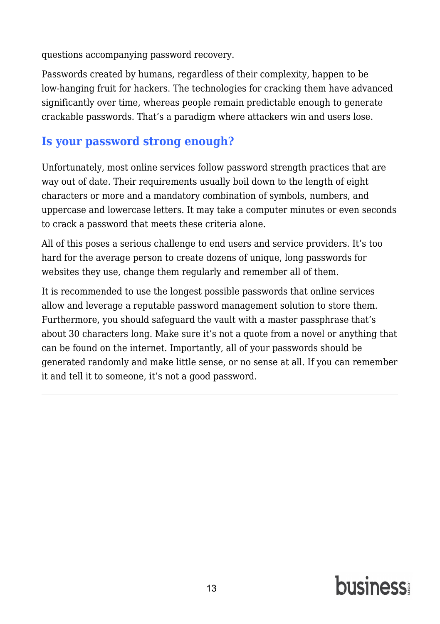Attempts to log into the same account multiple times will generate alerts. To circumvent these security measures, the attacker starts with a list of leaked email addresses and a list of the most frequently used passwords. Then they try to get into each one of those email accounts with one of the most common passwords, generating only one failure per account. A few days later, they try another common password for every email address. By using a botnet for this purpose, the crooks make it look like the login attempts come from different sources.

A good response to this attack vector is two-factor authentication, where you receive a secret code that you need to enter every time you try to log in. Sophisticated technologies like facial recognition and behavioral biometrics are tasked with addressing the issue as well. The use of third-party authentication services like Google or Facebook is another good practice that additionally minimizes the number of passwords you have to remember.

## **Do criminals already have your password?**

When cybercrooks zero in on a person, their starting point is to check whether that individual's login credentials have already been stolen from other services. If so, chances are the same password is used for the account being targeted.

Most users have tens or even hundreds of different online accounts. It is too hard to remember passwords for all those accounts; therefore, people tend to use only a couple of passwords, with some minor variations.

Some people think they are completely secure if they have one very complex password and use it for all their accounts. That's a delusion. In case hackers get that password, all of your information is at risk. It doesn't matter how strong the password is if you reuse it. By the way, there are online resources that allow you to learn whether any of your password-protected accounts have been breached in the past.

Incidents in which hackers use malware and steal the password for one's email account are particularly detrimental. This way, the black hats can log in and reset passwords for other services the victim uses. Also, if a website or in-house enterprise service has no limitation regarding login attempts, they can brute-force the password via a dictionary attack or cracking solutions like Hashcat, Mimikatz, or John the Ripper. When going after a high-profile target, the crooks can conduct some OSINT (open source intelligence) to figure out the likely answers to security

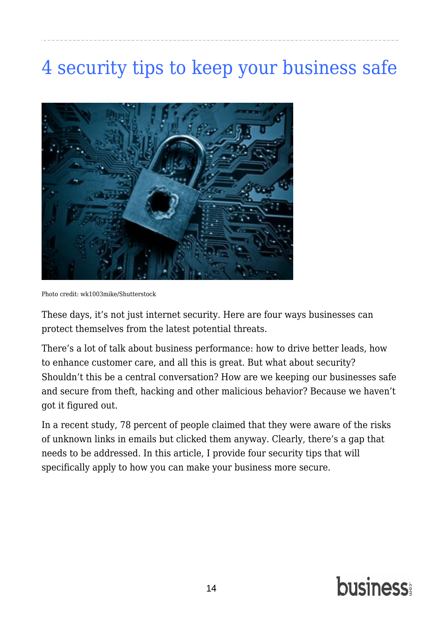questions accompanying password recovery.

Passwords created by humans, regardless of their complexity, happen to be low-hanging fruit for hackers. The technologies for cracking them have advanced significantly over time, whereas people remain predictable enough to generate crackable passwords. That's a paradigm where attackers win and users lose.

#### **Is your password strong enough?**

Unfortunately, most online services follow password strength practices that are way out of date. Their requirements usually boil down to the length of eight characters or more and a mandatory combination of symbols, numbers, and uppercase and lowercase letters. It may take a computer minutes or even seconds to crack a password that meets these criteria alone.

All of this poses a serious challenge to end users and service providers. It's too hard for the average person to create dozens of unique, long passwords for websites they use, change them regularly and remember all of them.

It is recommended to use the longest possible passwords that online services allow and leverage a reputable password management solution to store them. Furthermore, you should safeguard the vault with a master passphrase that's about 30 characters long. Make sure it's not a quote from a novel or anything that can be found on the internet. Importantly, all of your passwords should be generated randomly and make little sense, or no sense at all. If you can remember it and tell it to someone, it's not a good password.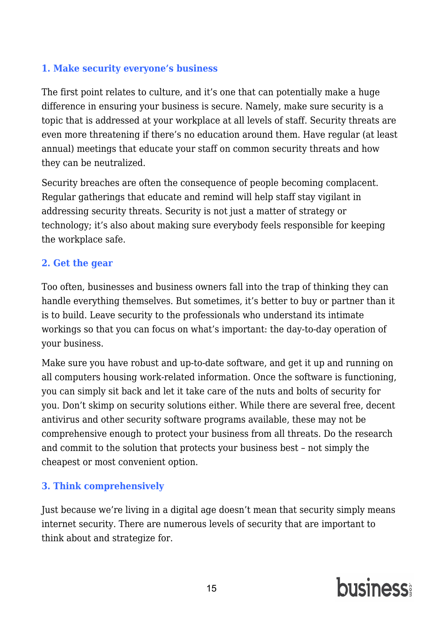## [4 security tips to keep your business safe](https://www.business.com/articles/four-security-tips-to-keep-your-business-safe/?page=0&q=network+security&date%5B%5D=Past+Year&category%5B%5D=Security&resultlist=mostRelevant)

<span id="page-15-0"></span>

Photo credit: wk1003mike/Shutterstock

These days, it's not just internet security. Here are four ways businesses can protect themselves from the latest potential threats.

There's a lot of talk about business performance: how to drive better leads, how to enhance customer care, and all this is great. But what about security? Shouldn't this be a central conversation? How are we keeping our businesses safe and secure from theft, hacking and other malicious behavior? Because we haven't got it figured out.

In a recent study, [78 percent of people](https://www.fau.eu/2016/08/25/news/research/one-in-two-users-click-on-links-from-unknown-senders/) claimed that they were aware of the risks of unknown links in emails but clicked them anyway. Clearly, there's a gap that needs to be addressed. In this article, I provide four security tips that will specifically apply to how you can make your business more secure.

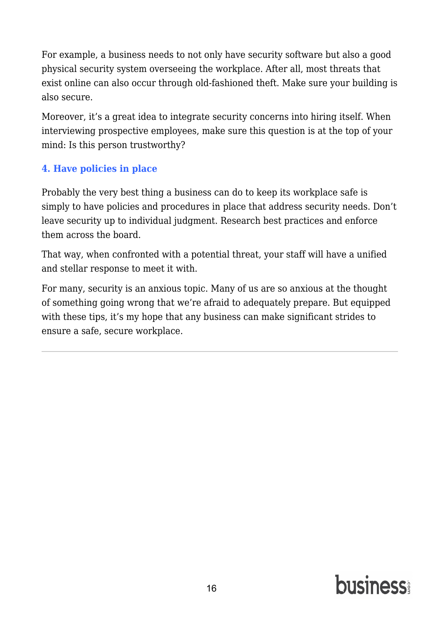#### **1. Make security everyone's business**

The first point relates to culture, and it's one that can potentially make a huge difference in ensuring your business is secure. Namely, make sure security is a topic that is addressed at your workplace at all levels of staff. Security threats are even more threatening if there's no education around them. Have regular (at least annual) meetings that educate your staff on common security threats and how they can be neutralized.

Security breaches are often the consequence of people becoming complacent. Regular gatherings that educate and remind will help staff stay vigilant in addressing security threats. Security is not just a matter of strategy or technology; it's also about making sure everybody feels responsible for keeping the workplace safe.

#### **2. Get the gear**

Too often, businesses and business owners fall into the trap of thinking they can handle everything themselves. But sometimes, it's better to buy or partner than it is to build. Leave security to the professionals who understand its intimate workings so that you can focus on what's important: the day-to-day operation of your business.

Make sure you have robust and up-to-date software, and get it up and running on all computers housing work-related information. Once the software is functioning, you can simply sit back and let it take care of the nuts and bolts of security for you. Don't skimp on security solutions either. While [there are several](https://www.pcmag.com/article2/0,2817,2388652,00.asp) free, decent antivirus and other security software programs available, these may not be comprehensive enough to protect your business from all threats. Do the research and commit to the solution that protects your business best – not simply the cheapest or most convenient option.

#### **3. Think comprehensively**

Just because we're living in a digital age doesn't mean that security simply means internet security. There are numerous levels of security that are important to think about and strategize for.

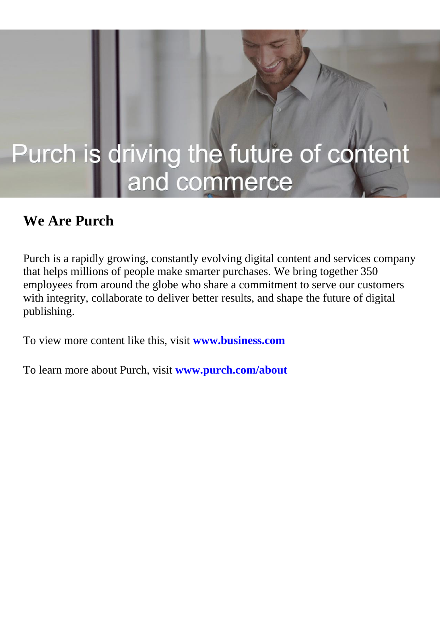For example, a business needs to not only have security software but also a good physical security system overseeing the workplace. After all, most threats that exist online can also occur through old-fashioned theft. Make sure your building is also secure.

Moreover, it's a great idea to integrate security concerns into hiring itself. When interviewing prospective employees, make sure this question is at the top of your mind: Is this person trustworthy?

#### **4. Have policies in place**

Probably the very best thing a business can do to keep its workplace safe is simply to have [policies and procedures](https://www.compassitc.com/blog/it-security-policies-and-procedures-why-you-need-them) in place that address security needs. Don't leave security up to individual judgment. Research best practices and enforce them across the board.

That way, when confronted with a potential threat, your staff will have a unified and stellar response to meet it with.

For many, security is an anxious topic. Many of us are so anxious at the thought of something going wrong that we're afraid to adequately prepare. But equipped with these tips, it's my hope that any business can make significant strides to ensure a safe, secure workplace.